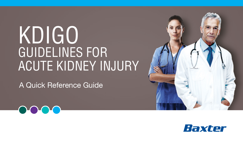# KDIGO GUIDELINES FOR ACUTE KIDNEY INJURY

A Quick Reference Guide





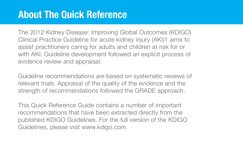# **About The Quick Reference**

The 2012 Kidney Disease: Improving Global Outcomes (KDIGO) Clinical Practice Guideline for acute kidney injury (AKI)1 aims to assist practitioners caring for adults and children at risk for or with AKI. Guideline development followed an explicit process of evidence review and appraisal.

Guideline recommendations are based on systematic reviews of relevant trials. Appraisal of the quality of the evidence and the strength of recommendations followed the GRADE approach.

This Quick Reference Guide contains a number of important recommendations that have been extracted directly from the published KDIGO Guidelines. For the full version of the KDIGO Guidelines, please visit www.kdigo.com.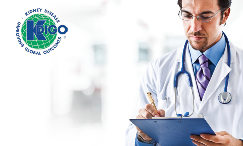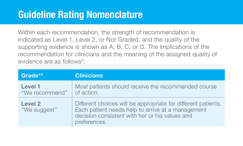# **Guideline Rating Nomenclature**

Within each recommendation, the strength of recommendation is indicated as Level 1, Level 2, or Not Graded, and the quality of the supporting evidence is shown as A, B, C, or D. The implications of the recommendation for clinicians and the meaning of the assigned quality of evidence are as follows\*:

| Grade**                   | <b>Clinicians</b>                                                                                                                                                                    |  |
|---------------------------|--------------------------------------------------------------------------------------------------------------------------------------------------------------------------------------|--|
| Level 1<br>"We recommend" | Most patients should receive the recommended course<br>of action.                                                                                                                    |  |
| Level 2<br>"We suggest"   | Different choices will be appropriate for different patients.<br>Each patient needs help to arrive at a management<br>decision consistent with her or his values and<br>preferences. |  |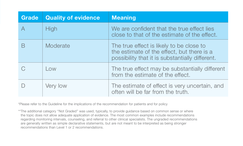| <b>Grade</b> | <b>Quality of evidence</b> | <b>Meaning</b>                                                                                                                            |
|--------------|----------------------------|-------------------------------------------------------------------------------------------------------------------------------------------|
|              | <b>High</b>                | We are confident that the true effect lies<br>close to that of the estimate of the effect.                                                |
|              | Moderate                   | The true effect is likely to be close to<br>the estimate of the effect, but there is a<br>possibility that it is substantially different. |
|              | Low                        | The true effect may be substantially different<br>from the estimate of the effect.                                                        |
|              | Very low                   | The estimate of effect is very uncertain, and<br>often will be far from the truth.                                                        |

\*Please refer to the Guideline for the implications of the recommendation for patients and for policy

\*\*The additional category ''Not Graded'' was used, typically, to provide guidance based on common sense or where the topic does not allow adequate application of evidence. The most common examples include recommendations regarding monitoring intervals, counseling, and referral to other clinical specialists. The ungraded recommendations are generally written as simple declarative statements, but are not meant to be interpreted as being stronger recommendations than Level 1 or 2 recommendations.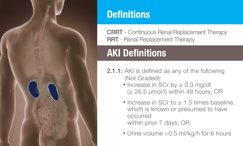

# **Definitions**

CRRT - Continuous Renal Replacement Therapy RRT - Renal Replacement Therapy

# **AKI Definitions**

- 2.1.1: AKI is defined as any of the following (Not Graded):
	- Increase in SCr by ≥ 0.3 mg/dl  $\geq$  26.5 umol/l) within 48 hours; OR
	- Increase in SCr to ≥ 1.5 times baseline, which is known or presumed to have occurred within prior 7 days; OR
	- Urine volume <0.5 ml/kg/h for 6 hours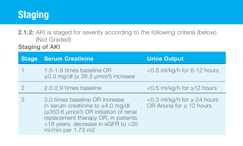# **Staging**

2.1.2: AKI is staged for severity according to the following criteria (below). (Not Graded)

Staging of AKI

| <b>Stage</b> | <b>Serum Creatinine</b>                                                                                                                                                                                                | <b>Urine Output</b>                                                  |
|--------------|------------------------------------------------------------------------------------------------------------------------------------------------------------------------------------------------------------------------|----------------------------------------------------------------------|
|              | 1.5-1.9 times baseline OR<br>$\geq$ 0.3 mg/dl ( $\geq$ 26.5 µmol/l) increase                                                                                                                                           | $<$ 0.5 ml/kg/h for 6-12 hours                                       |
|              | 2.0-2.9 times baseline                                                                                                                                                                                                 | <0.5 ml/kg/h for ≥12 hours                                           |
|              | 3.0 times baseline OR increase<br>in serum creatinine to $\geq 4.0$ mg/dl<br>(≥353.6 µmol/l) OR initiation of renal<br>replacement therapy OR, in patients<br><18 years, decrease in eGFR to <35<br>ml/min per 1.73 m2 | $<$ 0.3 ml/kg/h for $\geq$ 24 hours<br>OR Anuria for $\geq 12$ hours |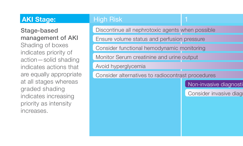#### **AKI Stage:** High Risk 1 2 3

Stage-based management of AKI Shading of boxes indicates priority of action—solid shading indicates actions that are equally appropriate at all stages whereas graded shading indicates increasing priority as intensity increases.

Discontinue all nephrotoxic agents when possible

Ensure volume status and perfusion pressure

Consider functional hemodynamic monitoring

Monitor Serum creatinine and urine output

Avoid hyperglycemia

Consider alternatives to radiocontrast procedures

Non-invasive diagnosti

Consider invasive diag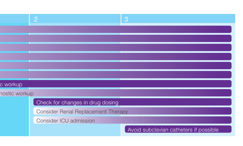|               | - 0                                | 3                                      |
|---------------|------------------------------------|----------------------------------------|
|               |                                    |                                        |
|               |                                    |                                        |
|               |                                    |                                        |
|               |                                    |                                        |
|               |                                    |                                        |
|               |                                    |                                        |
| c workup      |                                    |                                        |
| nostic workup |                                    |                                        |
|               | Check for changes in drug dosing   |                                        |
|               | Consider Renal Replacement Therapy |                                        |
|               | Consider ICU admission             |                                        |
|               |                                    | Avoid subclavian catheters if possible |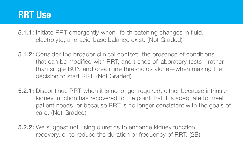## **RRT Use**

- 5.1.1: Initiate RRT emergently when life-threatening changes in fluid, electrolyte, and acid-base balance exist. (Not Graded)
- 5.1.2: Consider the broader clinical context, the presence of conditions that can be modified with RRT, and trends of laboratory tests—rather than single BUN and creatinine thresholds alone—when making the decision to start RRT. (Not Graded)
- 5.2.1: Discontinue RRT when it is no longer required, either because intrinsic kidney function has recovered to the point that it is adequate to meet patient needs, or because RRT is no longer consistent with the goals of care. (Not Graded)

5.2.2: We suggest not using diuretics to enhance kidney function recovery, or to reduce the duration or frequency of RRT. (2B)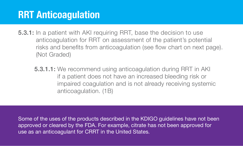# **RRT Anticoagulation**

- 5.3.1: In a patient with AKI requiring RRT, base the decision to use anticoagulation for RRT on assessment of the patient's potential risks and benefits from anticoagulation (see flow chart on next page). (Not Graded)
	- **5.3.1.1:** We recommend using anticoagulation during RRT in AKI if a patient does not have an increased bleeding risk or impaired coagulation and is not already receiving systemic anticoagulation. (1B)

Some of the uses of the products described in the KDIGO guidelines have not been approved or cleared by the FDA. For example, citrate has not been approved for use as an anticoagulant for CRRT in the United States.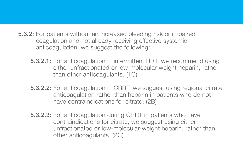5.3.2: For patients without an increased bleeding risk or impaired coagulation and not already receiving effective systemic anticoagulation, we suggest the following:

- 5.3.2.1: For anticoagulation in intermittent RRT, we recommend using either unfractionated or low-molecular-weight heparin, rather than other anticoagulants. (1C)
- 5.3.2.2: For anticoagulation in CRRT, we suggest using regional citrate anticoagulation rather than heparin in patients who do not have contraindications for citrate. (2B)
- 5.3.2.3: For anticoagulation during CRRT in patients who have contraindications for citrate, we suggest using either unfractionated or low-molecular-weight heparin, rather than other anticoagulants. (2C)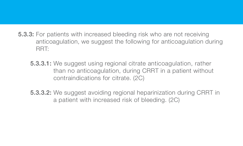- 5.3.3: For patients with increased bleeding risk who are not receiving anticoagulation, we suggest the following for anticoagulation during RRT:
	- 5.3.3.1: We suggest using regional citrate anticoagulation, rather than no anticoagulation, during CRRT in a patient without contraindications for citrate. (2C)
	- 5.3.3.2: We suggest avoiding regional heparinization during CRRT in a patient with increased risk of bleeding. (2C)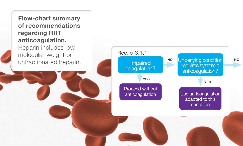#### **Flow-chart summary of recommendations regarding RRT anticoagulation.**

Heparin includes lowmolecular-weight or unfractionated heparin.

![](_page_13_Figure_2.jpeg)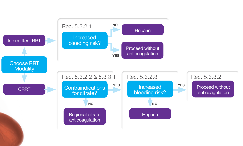![](_page_14_Figure_0.jpeg)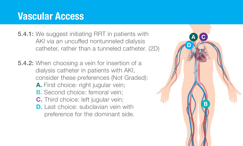# **Vascular Access**

- 5.4.1: We suggest initiating RRT in patients with AKI via an uncuffed nontunneled dialysis catheter, rather than a tunneled catheter. (2D)
- 5.4.2: When choosing a vein for insertion of a dialysis catheter in patients with AKI, consider these preferences (Not Graded): **A.** First choice: right jugular vein;
	- **B.** Second choice: femoral vein:
	- **C.** Third choice: left jugular vein;
	- **D.** Last choice: subclavian vein with preference for the dominant side.

![](_page_15_Picture_6.jpeg)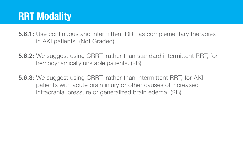# **RRT Modality**

5.6.1: Use continuous and intermittent RRT as complementary therapies in AKI patients. (Not Graded)

- 5.6.2: We suggest using CRRT, rather than standard intermittent RRT, for hemodynamically unstable patients. (2B)
- 5.6.3: We suggest using CRRT, rather than intermittent RRT, for AKI patients with acute brain injury or other causes of increased intracranial pressure or generalized brain edema. (2B)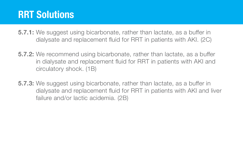# **RRT Solutions**

- **5.7.1:** We suggest using bicarbonate, rather than lactate, as a buffer in dialysate and replacement fluid for RRT in patients with AKI. (2C)
- 5.7.2: We recommend using bicarbonate, rather than lactate, as a buffer in dialysate and replacement fluid for RRT in patients with AKI and circulatory shock. (1B)
- 5.7.3: We suggest using bicarbonate, rather than lactate, as a buffer in dialysate and replacement fluid for RRT in patients with AKI and liver failure and/or lactic acidemia. (2B)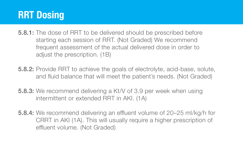# **RRT Dosing**

- 5.8.1: The dose of RRT to be delivered should be prescribed before starting each session of RRT. (Not Graded) We recommend frequent assessment of the actual delivered dose in order to adiust the prescription. (1B)
- 5.8.2: Provide RRT to achieve the goals of electrolyte, acid-base, solute, and fluid balance that will meet the patient's needs. (Not Graded)
- 5.8.3: We recommend delivering a Kt/V of 3.9 per week when using intermittent or extended RRT in AKI. (1A)
- 5.8.4: We recommend delivering an effluent volume of 20–25 ml/kg/h for CRRT in AKI (1A). This will usually require a higher prescription of effluent volume. (Not Graded)